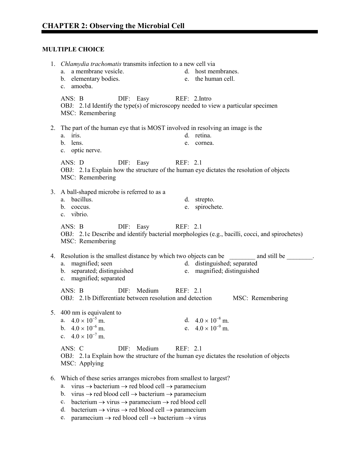# **MULTIPLE CHOICE**

|    | 1. <i>Chlamydia trachomatis</i> transmits infection to a new cell via                                 |    |                               |  |  |
|----|-------------------------------------------------------------------------------------------------------|----|-------------------------------|--|--|
|    | a membrane vesicle.<br>a.                                                                             |    | d. host membranes.            |  |  |
|    | b. elementary bodies.                                                                                 |    | e. the human cell.            |  |  |
|    | c. amoeba.                                                                                            |    |                               |  |  |
|    | ANS: B<br>DIF: Easy<br>REF: 2.Intro                                                                   |    |                               |  |  |
|    | OBJ: 2.1d Identify the type(s) of microscopy needed to view a particular specimen                     |    |                               |  |  |
|    | MSC: Remembering                                                                                      |    |                               |  |  |
|    |                                                                                                       |    |                               |  |  |
| 2. | The part of the human eye that is MOST involved in resolving an image is the                          |    |                               |  |  |
|    | a. iris.                                                                                              |    | d. retina.                    |  |  |
|    | lens.<br>$\mathbf{b}$ .                                                                               | e. | cornea.                       |  |  |
|    | c. optic nerve.                                                                                       |    |                               |  |  |
|    | ANS: D<br>REF: 2.1<br>DIF: Easy                                                                       |    |                               |  |  |
|    | OBJ: 2.1a Explain how the structure of the human eye dictates the resolution of objects               |    |                               |  |  |
|    | MSC: Remembering                                                                                      |    |                               |  |  |
|    |                                                                                                       |    |                               |  |  |
|    | 3. A ball-shaped microbe is referred to as a<br>a. bacillus.                                          |    |                               |  |  |
|    | b. coccus.                                                                                            |    | d. strepto.<br>e. spirochete. |  |  |
|    | c. vibrio.                                                                                            |    |                               |  |  |
|    |                                                                                                       |    |                               |  |  |
|    | DIF: Easy<br>REF: 2.1<br>ANS: B                                                                       |    |                               |  |  |
|    | OBJ: 2.1c Describe and identify bacterial morphologies (e.g., bacilli, cocci, and spirochetes)        |    |                               |  |  |
|    | MSC: Remembering                                                                                      |    |                               |  |  |
|    | 4. Resolution is the smallest distance by which two objects can be and still be                       |    |                               |  |  |
|    | a. magnified; seen                                                                                    |    | d. distinguished; separated   |  |  |
|    | b. separated; distinguished                                                                           |    | e. magnified; distinguished   |  |  |
|    | c. magnified; separated                                                                               |    |                               |  |  |
|    | DIF: Medium<br>ANS: B<br>REF: 2.1                                                                     |    |                               |  |  |
|    | OBJ: 2.1b Differentiate between resolution and detection                                              |    | MSC: Remembering              |  |  |
|    |                                                                                                       |    |                               |  |  |
|    | 5. 400 nm is equivalent to                                                                            |    |                               |  |  |
|    | a. $4.0 \times 10^{-5}$ m.                                                                            |    | d. $4.0 \times 10^{-8}$ m.    |  |  |
|    | b. $4.0 \times 10^{-6}$ m.                                                                            |    | e. $4.0 \times 10^{-9}$ m.    |  |  |
|    | c. $4.0 \times 10^{-7}$ m.                                                                            |    |                               |  |  |
|    | ANS: C<br>DIF: Medium<br>REF: 2.1                                                                     |    |                               |  |  |
|    | OBJ: 2.1a Explain how the structure of the human eye dictates the resolution of objects               |    |                               |  |  |
|    | MSC: Applying                                                                                         |    |                               |  |  |
|    |                                                                                                       |    |                               |  |  |
| 6. | Which of these series arranges microbes from smallest to largest?                                     |    |                               |  |  |
|    | virus $\rightarrow$ bacterium $\rightarrow$ red blood cell $\rightarrow$ paramecium<br>a.             |    |                               |  |  |
|    | virus $\rightarrow$ red blood cell $\rightarrow$ bacterium $\rightarrow$ paramecium<br>b.             |    |                               |  |  |
|    | bacterium $\rightarrow$ virus $\rightarrow$ paramecium $\rightarrow$ red blood cell<br>$\mathbf{c}$ . |    |                               |  |  |

- d. bacterium  $\rightarrow$  virus  $\rightarrow$  red blood cell  $\rightarrow$  paramecium
- e. paramecium  $\rightarrow$  red blood cell  $\rightarrow$  bacterium  $\rightarrow$  virus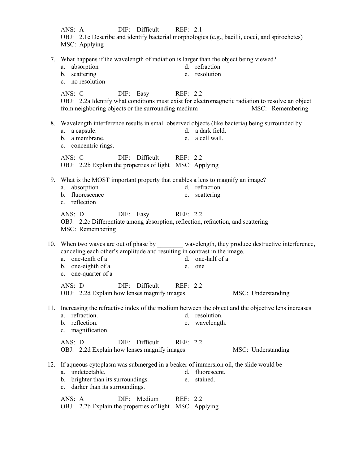|     | DIF: Difficult<br>ANS: A<br>REF: 2.1<br>OBJ: 2.1c Describe and identify bacterial morphologies (e.g., bacilli, cocci, and spirochetes)<br>MSC: Applying                                                                                                                        |
|-----|--------------------------------------------------------------------------------------------------------------------------------------------------------------------------------------------------------------------------------------------------------------------------------|
| 7.  | What happens if the wavelength of radiation is larger than the object being viewed?<br>d. refraction<br>absorption<br>a.<br>b. scattering<br>e. resolution<br>c. no resolution                                                                                                 |
|     | ANS: C<br>DIF: Easy<br>REF: 2.2<br>OBJ: 2.2a Identify what conditions must exist for electromagnetic radiation to resolve an object<br>from neighboring objects or the surrounding medium<br>MSC: Remembering                                                                  |
|     | 8. Wavelength interference results in small observed objects (like bacteria) being surrounded by<br>d. a dark field.<br>a. a capsule.<br>b. a membrane.<br>a cell wall.<br>e.<br>c. concentric rings.                                                                          |
|     | DIF: Difficult<br>ANS: C<br>REF: 2.2<br>OBJ: 2.2b Explain the properties of light MSC: Applying                                                                                                                                                                                |
|     | 9. What is the MOST important property that enables a lens to magnify an image?<br>d. refraction<br>absorption<br>a.<br>b. fluorescence<br>scattering<br>e.<br>c. reflection                                                                                                   |
|     | REF: 2.2<br>ANS: D<br>DIF: Easy<br>OBJ: 2.2c Differentiate among absorption, reflection, refraction, and scattering<br>MSC: Remembering                                                                                                                                        |
|     | 10. When two waves are out of phase by ________ wavelength, they produce destructive interference,<br>canceling each other's amplitude and resulting in contrast in the image.<br>a. one-tenth of a<br>d. one-half of a<br>b. one-eighth of a<br>e. one<br>c. one-quarter of a |
|     | ANS: D DIF: Difficult REF: 2.2<br>OBJ: 2.2d Explain how lenses magnify images<br>MSC: Understanding                                                                                                                                                                            |
| 11. | Increasing the refractive index of the medium between the object and the objective lens increases<br>a. refraction.<br>d. resolution.<br>b. reflection.<br>e. wavelength.<br>c. magnification.                                                                                 |
|     | ANS: D<br>DIF:<br>Difficult<br>REF: 2.2<br>OBJ: 2.2d Explain how lenses magnify images<br>MSC: Understanding                                                                                                                                                                   |
| 12. | If aqueous cytoplasm was submerged in a beaker of immersion oil, the slide would be<br>a. undetectable.<br>fluorescent.<br>d.<br>brighter than its surroundings.<br>stained.<br>b.<br>e.<br>darker than its surroundings.<br>$c_{-}$                                           |
|     | Medium<br>ANS: A<br>DIF:<br>REF: 2.2<br>OBJ: 2.2b Explain the properties of light MSC: Applying                                                                                                                                                                                |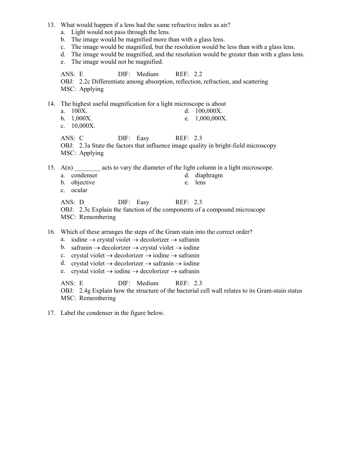- 13. What would happen if a lens had the same refractive index as air?
	- a. Light would not pass through the lens.
	- b. The image would be magnified more than with a glass lens.
	- c. The image would be magnified, but the resolution would be less than with a glass lens.
	- d. The image would be magnified, and the resolution would be greater than with a glass lens.
	- e. The image would not be magnified.

ANS: E DIF: Medium REF: 2.2 OBJ: 2.2c Differentiate among absorption, reflection, refraction, and scattering MSC: Applying

14. The highest useful magnification for a light microscope is about

- a. 100X. d. 100,000X.
- b. 1,000X. e. 1,000,000X.
- c. 10,000X.

ANS: C DIF: Easy REF: 2.3 OBJ: 2.3a State the factors that influence image quality in bright-field microscopy MSC: Applying

15.  $A(n)$  acts to vary the diameter of the light column in a light microscope.

- a. condenser d. diaphragm
- b. objective e. lens
- c. ocular

ANS: D DIF: Easy REF: 2.3

OBJ: 2.3c Explain the function of the components of a compound microscope MSC: Remembering

16. Which of these arranges the steps of the Gram stain into the correct order?

- a. iodine  $\rightarrow$  crystal violet  $\rightarrow$  decolorizer  $\rightarrow$  safranin
- b. safranin  $\rightarrow$  decolorizer  $\rightarrow$  crystal violet  $\rightarrow$  iodine
- c. crystal violet  $\rightarrow$  decolorizer  $\rightarrow$  iodine  $\rightarrow$  safranin
- d. crystal violet  $\rightarrow$  decolorizer  $\rightarrow$  safranin  $\rightarrow$  iodine
- e. crystal violet  $\rightarrow$  iodine  $\rightarrow$  decolorizer  $\rightarrow$  safranin

ANS: E DIF: Medium REF: 2.3

OBJ: 2.4g Explain how the structure of the bacterial cell wall relates to its Gram-stain status MSC: Remembering

17. Label the condenser in the figure below.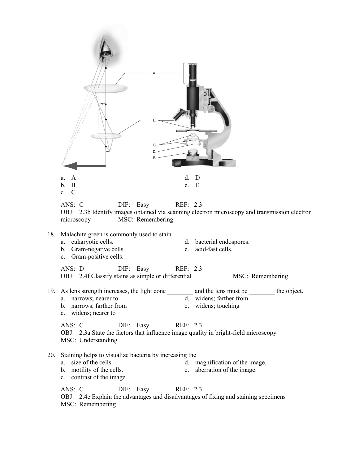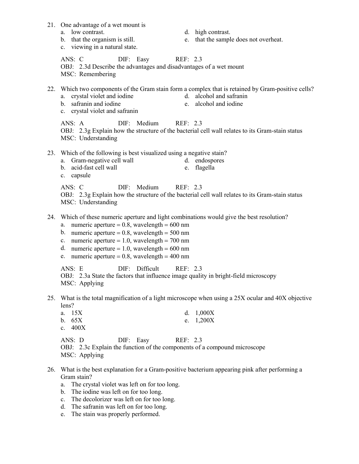- 21. One advantage of a wet mount is
	-
	-
	- c. viewing in a natural state.
	- a. low contrast. d. high contrast.
	- b. that the organism is still. e. that the sample does not overheat.

ANS: C DIF: Easy REF: 2.3 OBJ: 2.3d Describe the advantages and disadvantages of a wet mount MSC: Remembering

- 22. Which two components of the Gram stain form a complex that is retained by Gram-positive cells?
	- a. crystal violet and iodine d. alcohol and safranin
	- b. safranin and iodine e. alcohol and iodine
	- c. crystal violet and safranin
		-

ANS: A DIF: Medium REF: 2.3 OBJ: 2.3g Explain how the structure of the bacterial cell wall relates to its Gram-stain status MSC: Understanding

- 23. Which of the following is best visualized using a negative stain?
	- a. Gram-negative cell wall d. endospores
	- b. acid-fast cell wall e. flagella
	- c. capsule

ANS: C DIF: Medium REF: 2.3 OBJ: 2.3g Explain how the structure of the bacterial cell wall relates to its Gram-stain status MSC: Understanding

- 24. Which of these numeric aperture and light combinations would give the best resolution?
	- a. numeric aperture  $= 0.8$ , wavelength  $= 600$  nm
	- b. numeric aperture  $= 0.8$ , wavelength  $= 500$  nm
	- c. numeric aperture  $= 1.0$ , wavelength  $= 700$  nm
	- d. numeric aperture  $= 1.0$ , wavelength  $= 600$  nm
	- e. numeric aperture =  $0.8$ , wavelength =  $400$  nm

ANS: E DIF: Difficult REF: 2.3

OBJ: 2.3a State the factors that influence image quality in bright-field microscopy MSC: Applying

25. What is the total magnification of a light microscope when using a 25X ocular and 40X objective lens?

| a. $15X$                  | d. $1,000X$                                                               |  |
|---------------------------|---------------------------------------------------------------------------|--|
| b. $65X$                  | e. $1,200X$                                                               |  |
| c. $400X$                 |                                                                           |  |
| ANS: D DIF: Easy REF: 2.3 |                                                                           |  |
|                           | OBJ: 2.3c Explain the function of the components of a compound microscope |  |
| MSC: Applying             |                                                                           |  |

- 26. What is the best explanation for a Gram-positive bacterium appearing pink after performing a Gram stain?
	- a. The crystal violet was left on for too long.
	- b. The iodine was left on for too long.
	- c. The decolorizer was left on for too long.
	- d. The safranin was left on for too long.
	- e. The stain was properly performed.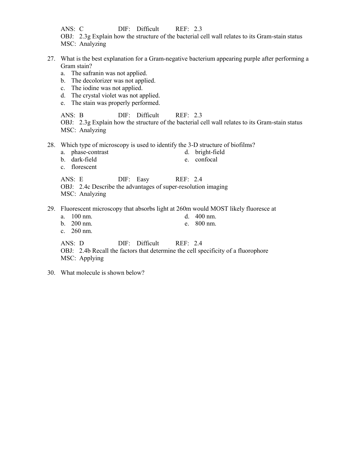ANS: C DIF: Difficult REF: 2.3 OBJ: 2.3g Explain how the structure of the bacterial cell wall relates to its Gram-stain status MSC: Analyzing

- 27. What is the best explanation for a Gram-negative bacterium appearing purple after performing a Gram stain?
	- a. The safranin was not applied.
	- b. The decolorizer was not applied.
	- c. The iodine was not applied.
	- d. The crystal violet was not applied.
	- e. The stain was properly performed.

ANS: B DIF: Difficult REF: 2.3 OBJ: 2.3g Explain how the structure of the bacterial cell wall relates to its Gram-stain status MSC: Analyzing

- 28. Which type of microscopy is used to identify the 3-D structure of biofilms?
	- a. phase-contrast d. bright-field
	- b. dark-field e. confocal
	- c. florescent

ANS: E DIF: Easy REF: 2.4

- OBJ: 2.4c Describe the advantages of super-resolution imaging
- MSC: Analyzing
- 29. Fluorescent microscopy that absorbs light at 260m would MOST likely fluoresce at
	- a. 100 nm. d. 400 nm. b. 200 nm. e. 800 nm. c. 260 nm. ANS: D DIF: Difficult REF: 2.4 OBJ: 2.4b Recall the factors that determine the cell specificity of a fluorophore MSC: Applying
- 30. What molecule is shown below?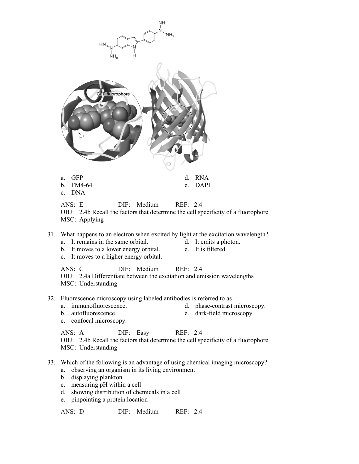

ANS: D DIF: Medium REF: 2.4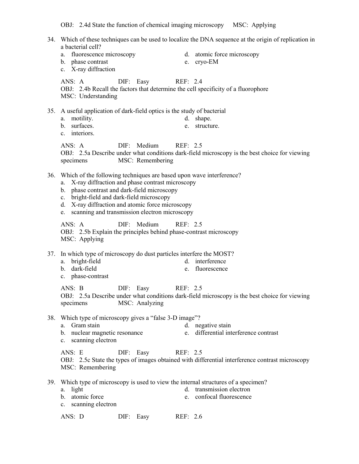OBJ: 2.4d State the function of chemical imaging microscopy MSC: Applying

34. Which of these techniques can be used to localize the DNA sequence at the origin of replication in a bacterial cell? a. fluorescence microscopy d. atomic force microscopy b. phase contrast e. cryo-EM c. X-ray diffraction ANS: A DIF: Easy REF: 2.4 OBJ: 2.4b Recall the factors that determine the cell specificity of a fluorophore MSC: Understanding 35. A useful application of dark-field optics is the study of bacterial a. motility. d. shape. b. surfaces. e. structure. c. interiors. ANS: A DIF: Medium REF: 2.5 OBJ: 2.5a Describe under what conditions dark-field microscopy is the best choice for viewing specimens MSC: Remembering 36. Which of the following techniques are based upon wave interference? a. X-ray diffraction and phase contrast microscopy b. phase contrast and dark-field microscopy c. bright-field and dark-field microscopy d. X-ray diffraction and atomic force microscopy e. scanning and transmission electron microscopy ANS: A DIF: Medium REF: 2.5 OBJ: 2.5b Explain the principles behind phase-contrast microscopy MSC: Applying 37. In which type of microscopy do dust particles interfere the MOST? a. bright-field d. interference b. dark-field e. fluorescence c. phase-contrast ANS: B DIF: Easy REF: 2.5 OBJ: 2.5a Describe under what conditions dark-field microscopy is the best choice for viewing specimens MSC: Analyzing 38. Which type of microscopy gives a "false 3-D image"? a. Gram stain d. negative stain b. nuclear magnetic resonance e. differential interference contrast c. scanning electron ANS: E DIF: Easy REF: 2.5 OBJ: 2.5c State the types of images obtained with differential interference contrast microscopy MSC: Remembering 39. Which type of microscopy is used to view the internal structures of a specimen? a. light d. transmission electron b. atomic force e. confocal fluorescence c. scanning electron ANS: D DIF: Easy REF: 2.6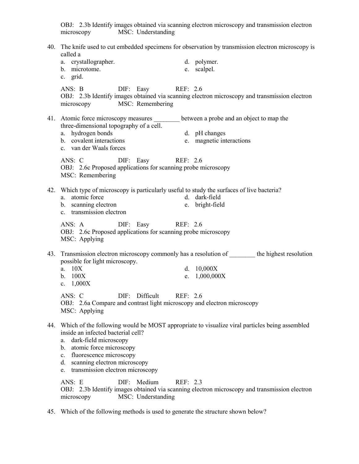OBJ: 2.3b Identify images obtained via scanning electron microscopy and transmission electron microscopy MSC: Understanding 40. The knife used to cut embedded specimens for observation by transmission electron microscopy is called a a. crystallographer. d. polymer. b. microtome. e. scalpel. c. grid. ANS: B DIF: Easy REF: 2.6 OBJ: 2.3b Identify images obtained via scanning electron microscopy and transmission electron microscopy MSC: Remembering 41. Atomic force microscopy measures between a probe and an object to map the three-dimensional topography of a cell. a. hydrogen bonds d. pH changes b. covalent interactions e. magnetic interactions c. van der Waals forces ANS: C DIF: Easy REF: 2.6 OBJ: 2.6c Proposed applications for scanning probe microscopy MSC: Remembering 42. Which type of microscopy is particularly useful to study the surfaces of live bacteria? a. atomic force d. dark-field b. scanning electron e. bright-field c. transmission electron ANS: A DIF: Easy REF: 2.6 OBJ: 2.6c Proposed applications for scanning probe microscopy MSC: Applying 43. Transmission electron microscopy commonly has a resolution of the highest resolution possible for light microscopy. a. 10X d. 10,000X b. 100X e. 1,000,000X c. 1,000X ANS: C DIF: Difficult REF: 2.6 OBJ: 2.6a Compare and contrast light microscopy and electron microscopy MSC: Applying 44. Which of the following would be MOST appropriate to visualize viral particles being assembled inside an infected bacterial cell? a. dark-field microscopy b. atomic force microscopy c. fluorescence microscopy d. scanning electron microscopy e. transmission electron microscopy ANS: E DIF: Medium REF: 2.3 OBJ: 2.3b Identify images obtained via scanning electron microscopy and transmission electron microscopy MSC: Understanding

45. Which of the following methods is used to generate the structure shown below?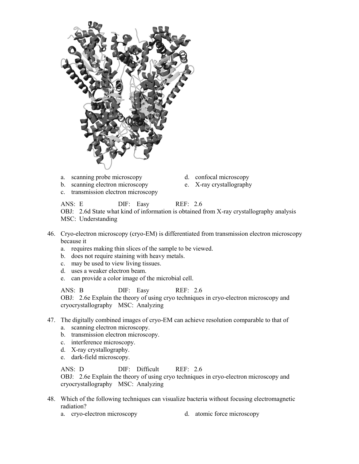

- a. scanning probe microscopy d. confocal microscopy
- b. scanning electron microscopy e. X-ray crystallography
- c. transmission electron microscopy
- 
- 

ANS: E DIF: Easy REF: 2.6

OBJ: 2.6d State what kind of information is obtained from X-ray crystallography analysis MSC: Understanding

- 46. Cryo-electron microscopy (cryo-EM) is differentiated from transmission electron microscopy because it
	- a. requires making thin slices of the sample to be viewed.
	- b. does not require staining with heavy metals.
	- c. may be used to view living tissues.
	- d. uses a weaker electron beam.
	- e. can provide a color image of the microbial cell.

ANS: B DIF: Easy REF: 2.6 OBJ: 2.6e Explain the theory of using cryo techniques in cryo-electron microscopy and cryocrystallography MSC: Analyzing

- 47. The digitally combined images of cryo-EM can achieve resolution comparable to that of a. scanning electron microscopy.
	-
	- b. transmission electron microscopy.
	- c. interference microscopy.
	- d. X-ray crystallography.
	- e. dark-field microscopy.

ANS: D DIF: Difficult REF: 2.6

OBJ: 2.6e Explain the theory of using cryo techniques in cryo-electron microscopy and cryocrystallography MSC: Analyzing

- 48. Which of the following techniques can visualize bacteria without focusing electromagnetic radiation?
	- a. cryo-electron microscopy d. atomic force microscopy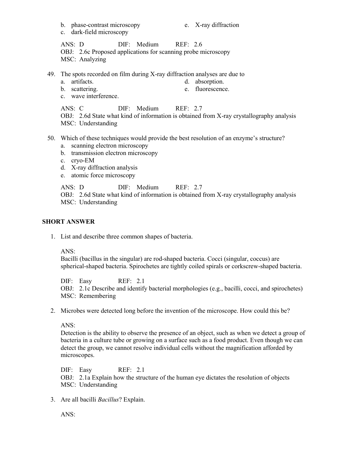- b. phase-contrast microscopy e. X-ray diffraction
- 

c. dark-field microscopy

ANS: D DIF: Medium REF: 2.6 OBJ: 2.6c Proposed applications for scanning probe microscopy MSC: Analyzing

- 49. The spots recorded on film during X-ray diffraction analyses are due to
	- a. artifacts. d. absorption.
	- b. scattering. e. fluorescence.
	- c. wave interference.

ANS: C DIF: Medium REF: 2.7

OBJ: 2.6d State what kind of information is obtained from X-ray crystallography analysis MSC: Understanding

- 50. Which of these techniques would provide the best resolution of an enzyme's structure?
	- a. scanning electron microscopy
	- b. transmission electron microscopy
	- c. cryo-EM
	- d. X-ray diffraction analysis
	- e. atomic force microscopy

ANS: D DIF: Medium REF: 2.7

OBJ: 2.6d State what kind of information is obtained from X-ray crystallography analysis MSC: Understanding

#### **SHORT ANSWER**

1. List and describe three common shapes of bacteria.

#### ANS:

Bacilli (bacillus in the singular) are rod-shaped bacteria. Cocci (singular, coccus) are spherical-shaped bacteria. Spirochetes are tightly coiled spirals or corkscrew-shaped bacteria.

DIF: Easy REF: 2.1 OBJ: 2.1c Describe and identify bacterial morphologies (e.g., bacilli, cocci, and spirochetes) MSC: Remembering

2. Microbes were detected long before the invention of the microscope. How could this be?

ANS:

Detection is the ability to observe the presence of an object, such as when we detect a group of bacteria in a culture tube or growing on a surface such as a food product. Even though we can detect the group, we cannot resolve individual cells without the magnification afforded by microscopes.

DIF: Easy REF: 2.1 OBJ: 2.1a Explain how the structure of the human eye dictates the resolution of objects MSC: Understanding

3. Are all bacilli *Bacillus*? Explain.

ANS: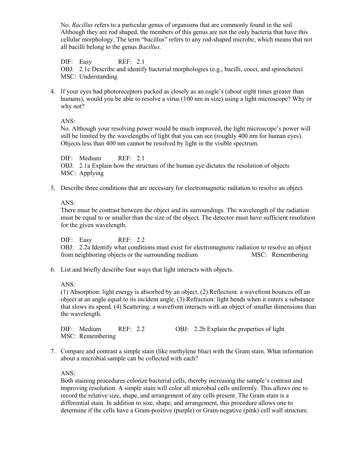No. *Bacillus* refers to a particular genus of organisms that are commonly found in the soil. Although they are rod shaped, the members of this genus are not the only bacteria that have this cellular morphology. The term "bacillus" refers to any rod-shaped microbe, which means that not all bacilli belong to the genus *Bacillus.*

DIF: Easy REF: 2.1 OBJ: 2.1c Describe and identify bacterial morphologies (e.g., bacilli, cocci, and spirochetes) MSC: Understanding

4. If your eyes had photoreceptors packed as closely as an eagle's (about eight times greater than humans), would you be able to resolve a virus (100 nm in size) using a light microscope? Why or why not?

ANS:

No. Although your resolving power would be much improved, the light microscope's power will still be limited by the wavelengths of light that you can see (roughly 400 nm for human eyes). Objects less than 400 nm cannot be resolved by light in the visible spectrum.

DIF: Medium REF: 2.1 OBJ: 2.1a Explain how the structure of the human eye dictates the resolution of objects MSC: Applying

5. Describe three conditions that are necessary for electromagnetic radiation to resolve an object.

ANS:

There must be contrast between the object and its surroundings. The wavelength of the radiation must be equal to or smaller than the size of the object. The detector must have sufficient resolution for the given wavelength.

### DIF: Easy REF: 2.2

OBJ: 2.2a Identify what conditions must exist for electromagnetic radiation to resolve an object from neighboring objects or the surrounding medium MSC: Remembering

6. List and briefly describe four ways that light interacts with objects.

ANS:

(1) Absorption: light energy is absorbed by an object. (2) Reflection: a wavefront bounces off an object at an angle equal to its incident angle. (3) Refraction: light bends when it enters a substance that slows its speed. (4) Scattering: a wavefront interacts with an object of smaller dimensions than the wavelength.

DIF: Medium REF: 2.2 OBJ: 2.2b Explain the properties of light MSC: Remembering

7. Compare and contrast a simple stain (like methylene blue) with the Gram stain. What information about a microbial sample can be collected with each?

ANS:

Both staining procedures colorize bacterial cells, thereby increasing the sample's contrast and improving resolution. A simple stain will color all microbial cells uniformly. This allows one to record the relative size, shape, and arrangement of any cells present. The Gram stain is a differential stain. In addition to size, shape, and arrangement, this procedure allows one to determine if the cells have a Gram-positive (purple) or Gram-negative (pink) cell wall structure.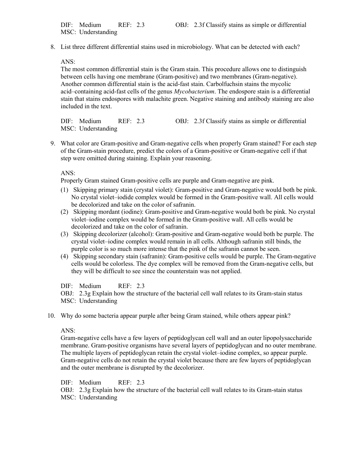8. List three different differential stains used in microbiology. What can be detected with each?

ANS:

The most common differential stain is the Gram stain. This procedure allows one to distinguish between cells having one membrane (Gram-positive) and two membranes (Gram-negative). Another common differential stain is the acid-fast stain. Carbolfuchsin stains the mycolic acid–containing acid-fast cells of the genus *Mycobacterium*. The endospore stain is a differential stain that stains endospores with malachite green. Negative staining and antibody staining are also included in the text.

DIF: Medium REF: 2.3 OBJ: 2.3f Classify stains as simple or differential MSC: Understanding

9. What color are Gram-positive and Gram-negative cells when properly Gram stained? For each step of the Gram-stain procedure, predict the colors of a Gram-positive or Gram-negative cell if that step were omitted during staining. Explain your reasoning.

ANS:

Properly Gram stained Gram-positive cells are purple and Gram-negative are pink.

- (1) Skipping primary stain (crystal violet): Gram-positive and Gram-negative would both be pink. No crystal violet–iodide complex would be formed in the Gram-positive wall. All cells would be decolorized and take on the color of safranin.
- (2) Skipping mordant (iodine): Gram-positive and Gram-negative would both be pink. No crystal violet–iodine complex would be formed in the Gram-positive wall. All cells would be decolorized and take on the color of safranin.
- (3) Skipping decolorizer (alcohol): Gram-positive and Gram-negative would both be purple. The crystal violet–iodine complex would remain in all cells. Although safranin still binds, the purple color is so much more intense that the pink of the safranin cannot be seen.
- (4) Skipping secondary stain (safranin): Gram-positive cells would be purple. The Gram-negative cells would be colorless. The dye complex will be removed from the Gram-negative cells, but they will be difficult to see since the counterstain was not applied.

DIF: Medium REF: 2.3

OBJ: 2.3g Explain how the structure of the bacterial cell wall relates to its Gram-stain status MSC: Understanding

10. Why do some bacteria appear purple after being Gram stained, while others appear pink?

ANS:

Gram-negative cells have a few layers of peptidoglycan cell wall and an outer lipopolysaccharide membrane. Gram-positive organisms have several layers of peptidoglycan and no outer membrane. The multiple layers of peptidoglycan retain the crystal violet–iodine complex, so appear purple. Gram-negative cells do not retain the crystal violet because there are few layers of peptidoglycan and the outer membrane is disrupted by the decolorizer.

DIF: Medium REF: 2.3

OBJ: 2.3g Explain how the structure of the bacterial cell wall relates to its Gram-stain status MSC: Understanding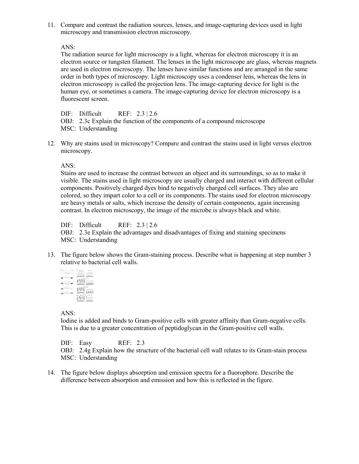11. Compare and contrast the radiation sources, lenses, and image-capturing devices used in light microscopy and transmission electron microscopy.

ANS:

The radiation source for light microscopy is a light, whereas for electron microscopy it is an electron source or tungsten filament. The lenses in the light microscope are glass, whereas magnets are used in electron microscopy. The lenses have similar functions and are arranged in the same order in both types of microscopy. Light microscopy uses a condenser lens, whereas the lens in electron microscopy is called the projection lens. The image-capturing device for light is the human eye, or sometimes a camera. The image-capturing device for electron microscopy is a fluorescent screen.

DIF: Difficult REF: 2.3 | 2.6

OBJ: 2.3c Explain the function of the components of a compound microscope MSC: Understanding

12. Why are stains used in microscopy? Compare and contrast the stains used in light versus electron microscopy.

ANS:

Stains are used to increase the contrast between an object and its surroundings, so as to make it visible. The stains used in light microscopy are usually charged and interact with different cellular components. Positively charged dyes bind to negatively charged cell surfaces. They also are colored, so they impart color to a cell or its components. The stains used for electron microscopy are heavy metals or salts, which increase the density of certain components, again increasing contrast. In electron microscopy, the image of the microbe is always black and white.

DIF: Difficult REF: 2.3 | 2.6

OBJ: 2.3e Explain the advantages and disadvantages of fixing and staining specimens

MSC: Understanding

13. The figure below shows the Gram-staining process. Describe what is happening at step number 3 relative to bacterial cell walls.

|  | <b>NAVARRA</b> |  |
|--|----------------|--|
|  |                |  |
|  |                |  |
|  |                |  |
|  |                |  |
|  |                |  |

ANS:

Iodine is added and binds to Gram-positive cells with greater affinity than Gram-negative cells. This is due to a greater concentration of peptidoglycan in the Gram-positive cell walls.

DIF: Easy REF: 2.3

OBJ: 2.4g Explain how the structure of the bacterial cell wall relates to its Gram-stain process MSC: Understanding

14. The figure below displays absorption and emission spectra for a fluorophore. Describe the difference between absorption and emission and how this is reflected in the figure.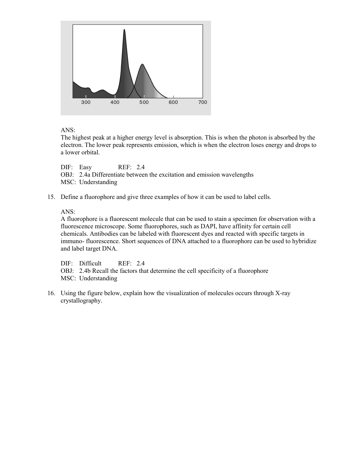

ANS:

The highest peak at a higher energy level is absorption. This is when the photon is absorbed by the electron. The lower peak represents emission, which is when the electron loses energy and drops to a lower orbital.

DIF: Easy REF: 2.4 OBJ: 2.4a Differentiate between the excitation and emission wavelengths MSC: Understanding

15. Define a fluorophore and give three examples of how it can be used to label cells.

## ANS:

A fluorophore is a fluorescent molecule that can be used to stain a specimen for observation with a fluorescence microscope. Some fluorophores, such as DAPI, have affinity for certain cell chemicals. Antibodies can be labeled with fluorescent dyes and reacted with specific targets in immuno- fluorescence. Short sequences of DNA attached to a fluorophore can be used to hybridize and label target DNA.

DIF: Difficult REF: 2.4

OBJ: 2.4b Recall the factors that determine the cell specificity of a fluorophore MSC: Understanding

16. Using the figure below, explain how the visualization of molecules occurs through X-ray crystallography.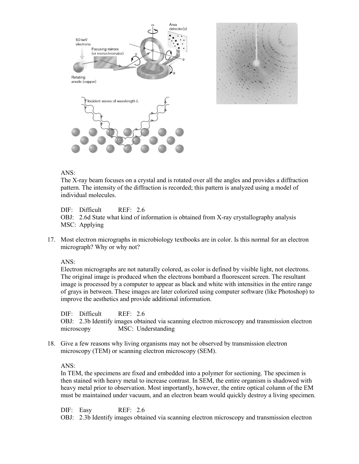

#### ANS:

The X-ray beam focuses on a crystal and is rotated over all the angles and provides a diffraction pattern. The intensity of the diffraction is recorded; this pattern is analyzed using a model of individual molecules.

DIF: Difficult REF: 2.6

OBJ: 2.6d State what kind of information is obtained from X-ray crystallography analysis MSC: Applying

17. Most electron micrographs in microbiology textbooks are in color. Is this normal for an electron micrograph? Why or why not?

ANS:

Electron micrographs are not naturally colored, as color is defined by visible light, not electrons. The original image is produced when the electrons bombard a fluorescent screen. The resultant image is processed by a computer to appear as black and white with intensities in the entire range of grays in between. These images are later colorized using computer software (like Photoshop) to improve the aesthetics and provide additional information.

DIF: Difficult REF: 2.6 OBJ: 2.3b Identify images obtained via scanning electron microscopy and transmission electron microscopy MSC: Understanding

18. Give a few reasons why living organisms may not be observed by transmission electron microscopy (TEM) or scanning electron microscopy (SEM).

ANS:

In TEM, the specimens are fixed and embedded into a polymer for sectioning. The specimen is then stained with heavy metal to increase contrast. In SEM, the entire organism is shadowed with heavy metal prior to observation. Most importantly, however, the entire optical column of the EM must be maintained under vacuum, and an electron beam would quickly destroy a living specimen.

DIF: Easy REF: 2.6

OBJ: 2.3b Identify images obtained via scanning electron microscopy and transmission electron